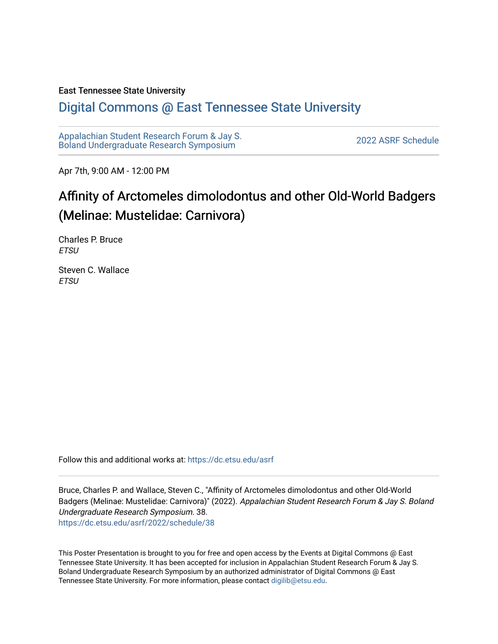#### East Tennessee State University

#### [Digital Commons @ East Tennessee State University](https://dc.etsu.edu/)

[Appalachian Student Research Forum & Jay S.](https://dc.etsu.edu/asrf)  Appalactifalt Student Research Forum & Jay S.<br>Boland Undergraduate Research Symposium

Apr 7th, 9:00 AM - 12:00 PM

#### Affinity of Arctomeles dimolodontus and other Old-World Badgers (Melinae: Mustelidae: Carnivora)

Charles P. Bruce **ETSU** 

Steven C. Wallace **FTSU** 

Follow this and additional works at: [https://dc.etsu.edu/asrf](https://dc.etsu.edu/asrf?utm_source=dc.etsu.edu%2Fasrf%2F2022%2Fschedule%2F38&utm_medium=PDF&utm_campaign=PDFCoverPages) 

Bruce, Charles P. and Wallace, Steven C., "Affinity of Arctomeles dimolodontus and other Old-World Badgers (Melinae: Mustelidae: Carnivora)" (2022). Appalachian Student Research Forum & Jay S. Boland Undergraduate Research Symposium. 38. [https://dc.etsu.edu/asrf/2022/schedule/38](https://dc.etsu.edu/asrf/2022/schedule/38?utm_source=dc.etsu.edu%2Fasrf%2F2022%2Fschedule%2F38&utm_medium=PDF&utm_campaign=PDFCoverPages) 

This Poster Presentation is brought to you for free and open access by the Events at Digital Commons @ East Tennessee State University. It has been accepted for inclusion in Appalachian Student Research Forum & Jay S. Boland Undergraduate Research Symposium by an authorized administrator of Digital Commons @ East Tennessee State University. For more information, please contact [digilib@etsu.edu](mailto:digilib@etsu.edu).